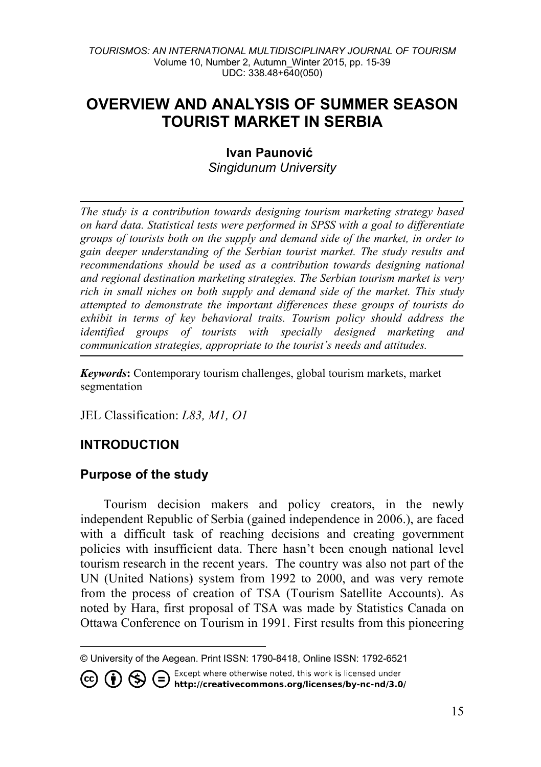# **OVERVIEW AND ANALYSIS OF SUMMER SEASON TOURIST MARKET IN SERBIA**

# **Ivan Paunović** *Singidunum University*

*The study is a contribution towards designing tourism marketing strategy based on hard data. Statistical tests were performed in SPSS with a goal to differentiate groups of tourists both on the supply and demand side of the market, in order to gain deeper understanding of the Serbian tourist market. The study results and recommendations should be used as a contribution towards designing national and regional destination marketing strategies. The Serbian tourism market is very rich in small niches on both supply and demand side of the market. This study attempted to demonstrate the important differences these groups of tourists do exhibit in terms of key behavioral traits. Tourism policy should address the identified groups of tourists with specially designed marketing and communication strategies, appropriate to the tourist's needs and attitudes.*

*Keywords***:** Contemporary tourism challenges, global tourism markets, market segmentation

JEL Classification: *L83, M1, O1*

# **INTRODUCTION**

# **Purpose of the study**

Tourism decision makers and policy creators, in the newly independent Republic of Serbia (gained independence in 2006.), are faced with a difficult task of reaching decisions and creating government policies with insufficient data. There hasn't been enough national level tourism research in the recent years. The country was also not part of the UN (United Nations) system from 1992 to 2000, and was very remote from the process of creation of TSA (Tourism Satellite Accounts). As noted by Hara, first proposal of TSA was made by Statistics Canada on Ottawa Conference on Tourism in 1991. First results from this pioneering

Except where otherwise noted, this work is licensed under **1** S C Except where otherwise noted, this work is licensed under<br>http://creativecommons.org/licenses/by-nc-nd/3.0/

<span id="page-0-0"></span><sup>-</sup>© University of the Aegean. Print ISSN: 1790-8418, Online ISSN: 1792-6521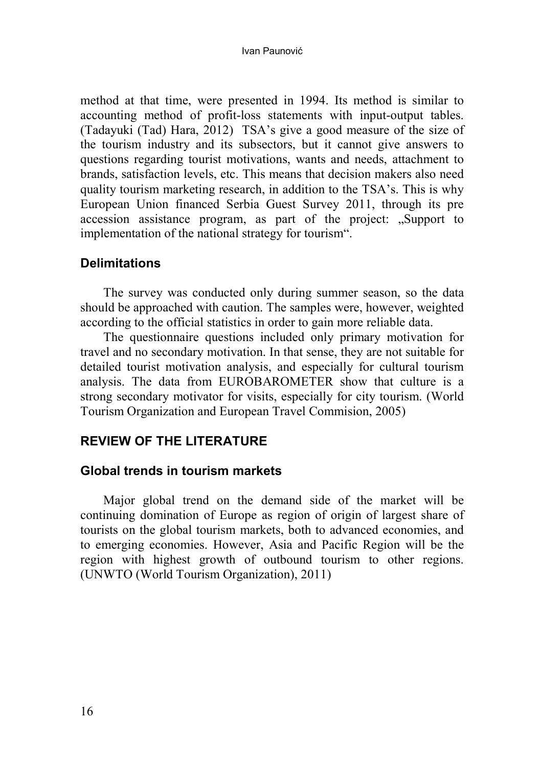method at that time, were presented in 1994. Its method is similar to accounting method of profit-loss statements with input-output tables. (Tadayuki (Tad) Hara, 2012) TSA's give a good measure of the size of the tourism industry and its subsectors, but it cannot give answers to questions regarding tourist motivations, wants and needs, attachment to brands, satisfaction levels, etc. This means that decision makers also need quality tourism marketing research, in addition to the TSA's. This is why European Union financed Serbia Guest Survey 2011, through its pre accession assistance program, as part of the project: "Support to implementation of the national strategy for tourism".

# **Delimitations**

The survey was conducted only during summer season, so the data should be approached with caution. The samples were, however, weighted according to the official statistics in order to gain more reliable data.

The questionnaire questions included only primary motivation for travel and no secondary motivation. In that sense, they are not suitable for detailed tourist motivation analysis, and especially for cultural tourism analysis. The data from EUROBAROMETER show that culture is a strong secondary motivator for visits, especially for city tourism. (World Tourism Organization and European Travel Commision, 2005)

# **REVIEW OF THE LITERATURE**

### **Global trends in tourism markets**

Major global trend on the demand side of the market will be continuing domination of Europe as region of origin of largest share of tourists on the global tourism markets, both to advanced economies, and to emerging economies. However, Asia and Pacific Region will be the region with highest growth of outbound tourism to other regions. (UNWTO (World Tourism Organization), 2011)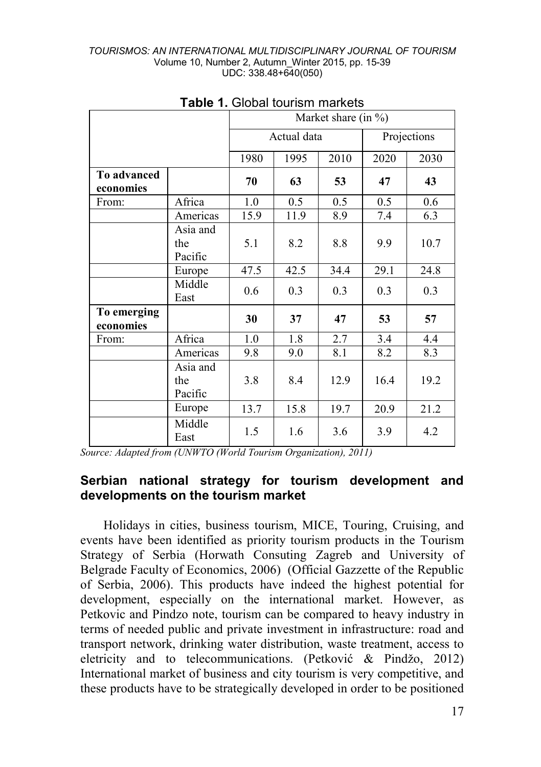|                          |                            | Market share (in $\%$ ) |                            |      |      |      |  |  |  |
|--------------------------|----------------------------|-------------------------|----------------------------|------|------|------|--|--|--|
|                          |                            |                         | Actual data<br>Projections |      |      |      |  |  |  |
|                          |                            | 1980                    | 2030                       |      |      |      |  |  |  |
| To advanced<br>economies |                            | 70                      | 63                         | 53   | 47   | 43   |  |  |  |
| From:                    | Africa                     | 1.0                     | 0.5                        | 0.5  | 0.5  | 0.6  |  |  |  |
|                          | Americas                   | 15.9                    | 11.9                       | 8.9  | 7.4  | 6.3  |  |  |  |
|                          | Asia and<br>the<br>Pacific | 5.1                     | 8.2                        | 8.8  | 9.9  | 10.7 |  |  |  |
|                          | Europe                     | 47.5                    | 42.5                       | 34.4 | 29.1 | 24.8 |  |  |  |
|                          | Middle<br>East             | 0.6                     | 0.3                        | 0.3  | 0.3  | 0.3  |  |  |  |
| To emerging<br>economies |                            | 30                      | 37                         | 47   | 53   | 57   |  |  |  |
| From:                    | Africa                     | 1.0                     | 1.8                        | 2.7  | 3.4  | 4.4  |  |  |  |
|                          | Americas                   | 9.8                     | 9.0                        | 8.1  | 8.2  | 8.3  |  |  |  |
|                          | Asia and<br>the<br>Pacific | 3.8                     | 8.4                        | 12.9 | 16.4 | 19.2 |  |  |  |
|                          | Europe                     | 13.7                    | 15.8                       | 19.7 | 20.9 | 21.2 |  |  |  |
|                          | Middle<br>East             | 1.5                     | 1.6                        | 3.6  | 3.9  | 4.2  |  |  |  |

| <b>Table 1. Global tourism markets</b> |  |
|----------------------------------------|--|
|----------------------------------------|--|

*Source: Adapted from (UNWTO (World Tourism Organization), 2011)*

# **Serbian national strategy for tourism development and developments on the tourism market**

Holidays in cities, business tourism, MICE, Touring, Cruising, and events have been identified as priority tourism products in the Tourism Strategy of Serbia (Horwath Consuting Zagreb and University of Belgrade Faculty of Economics, 2006) (Official Gazzette of the Republic of Serbia, 2006). This products have indeed the highest potential for development, especially on the international market. However, as Petkovic and Pindzo note, tourism can be compared to heavy industry in terms of needed public and private investment in infrastructure: road and transport network, drinking water distribution, waste treatment, access to eletricity and to telecommunications. (Petković & Pindžo, 2012) International market of business and city tourism is very competitive, and these products have to be strategically developed in order to be positioned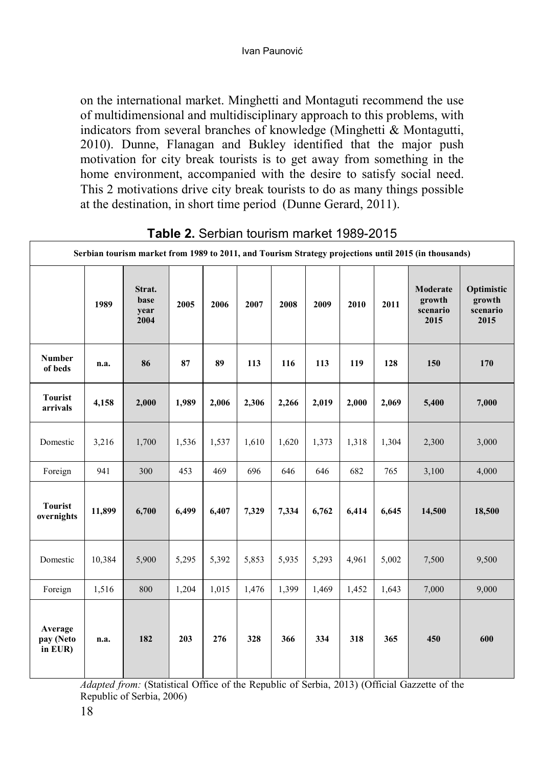on the international market. Minghetti and Montaguti recommend the use of multidimensional and multidisciplinary approach to this problems, with indicators from several branches of knowledge (Minghetti & Montagutti, 2010). Dunne, Flanagan and Bukley identified that the major push motivation for city break tourists is to get away from something in the home environment, accompanied with the desire to satisfy social need. This 2 motivations drive city break tourists to do as many things possible at the destination, in short time period (Dunne Gerard, 2011).

|                                 | Serbian tourism market from 1989 to 2011, and Tourism Strategy projections until 2015 (in thousands) |                                |       |       |       |       |       |       |       |                                        |                                          |
|---------------------------------|------------------------------------------------------------------------------------------------------|--------------------------------|-------|-------|-------|-------|-------|-------|-------|----------------------------------------|------------------------------------------|
|                                 | 1989                                                                                                 | Strat.<br>base<br>year<br>2004 | 2005  | 2006  | 2007  | 2008  | 2009  | 2010  | 2011  | Moderate<br>growth<br>scenario<br>2015 | Optimistic<br>growth<br>scenario<br>2015 |
| <b>Number</b><br>of beds        | n.a.                                                                                                 | 86                             | 87    | 89    | 113   | 116   | 113   | 119   | 128   | 150                                    | 170                                      |
| <b>Tourist</b><br>arrivals      | 4,158                                                                                                | 2,000                          | 1,989 | 2,006 | 2,306 | 2,266 | 2,019 | 2,000 | 2,069 | 5,400                                  | 7,000                                    |
| Domestic                        | 3,216                                                                                                | 1,700                          | 1,536 | 1,537 | 1,610 | 1,620 | 1,373 | 1,318 | 1,304 | 2,300                                  | 3,000                                    |
| Foreign                         | 941                                                                                                  | 300                            | 453   | 469   | 696   | 646   | 646   | 682   | 765   | 3,100                                  | 4,000                                    |
| <b>Tourist</b><br>overnights    | 11,899                                                                                               | 6,700                          | 6,499 | 6,407 | 7,329 | 7,334 | 6,762 | 6,414 | 6,645 | 14,500                                 | 18,500                                   |
| Domestic                        | 10,384                                                                                               | 5,900                          | 5,295 | 5,392 | 5,853 | 5,935 | 5,293 | 4,961 | 5,002 | 7,500                                  | 9,500                                    |
| Foreign                         | 1,516                                                                                                | 800                            | 1,204 | 1,015 | 1,476 | 1,399 | 1,469 | 1,452 | 1,643 | 7,000                                  | 9,000                                    |
| Average<br>pay (Neto<br>in EUR) | n.a.                                                                                                 | 182                            | 203   | 276   | 328   | 366   | 334   | 318   | 365   | 450                                    | 600                                      |

**Table 2.** Serbian tourism market 1989-2015

*Adapted from:* (Statistical Office of the Republic of Serbia, 2013) (Official Gazzette of the Republic of Serbia, 2006)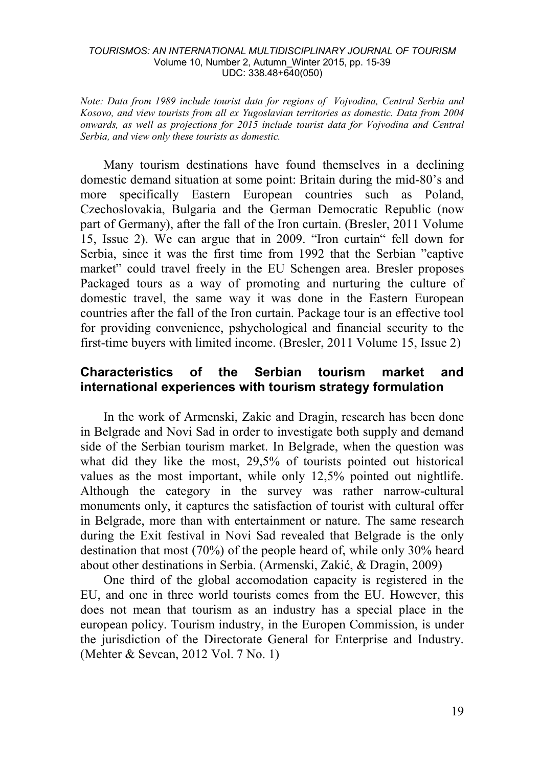*Note: Data from 1989 include tourist data for regions of Vojvodina, Central Serbia and Kosovo, and view tourists from all ex Yugoslavian territories as domestic. Data from 2004 onwards, as well as projections for 2015 include tourist data for Vojvodina and Central Serbia, and view only these tourists as domestic.* 

Many tourism destinations have found themselves in a declining domestic demand situation at some point: Britain during the mid-80's and more specifically Eastern European countries such as Poland, Czechoslovakia, Bulgaria and the German Democratic Republic (now part of Germany), after the fall of the Iron curtain. (Bresler, 2011 Volume 15, Issue 2). We can argue that in 2009. "Iron curtain" fell down for Serbia, since it was the first time from 1992 that the Serbian "captive market" could travel freely in the EU Schengen area. Bresler proposes Packaged tours as a way of promoting and nurturing the culture of domestic travel, the same way it was done in the Eastern European countries after the fall of the Iron curtain. Package tour is an effective tool for providing convenience, pshychological and financial security to the first-time buyers with limited income. (Bresler, 2011 Volume 15, Issue 2)

### **Characteristics of the Serbian tourism market and international experiences with tourism strategy formulation**

In the work of Armenski, Zakic and Dragin, research has been done in Belgrade and Novi Sad in order to investigate both supply and demand side of the Serbian tourism market. In Belgrade, when the question was what did they like the most, 29,5% of tourists pointed out historical values as the most important, while only 12,5% pointed out nightlife. Although the category in the survey was rather narrow-cultural monuments only, it captures the satisfaction of tourist with cultural offer in Belgrade, more than with entertainment or nature. The same research during the Exit festival in Novi Sad revealed that Belgrade is the only destination that most (70%) of the people heard of, while only 30% heard about other destinations in Serbia. (Armenski, Zakić, & Dragin, 2009)

One third of the global accomodation capacity is registered in the EU, and one in three world tourists comes from the EU. However, this does not mean that tourism as an industry has a special place in the european policy. Tourism industry, in the Europen Commission, is under the jurisdiction of the Directorate General for Enterprise and Industry. (Mehter & Sevcan, 2012 Vol. 7 No. 1)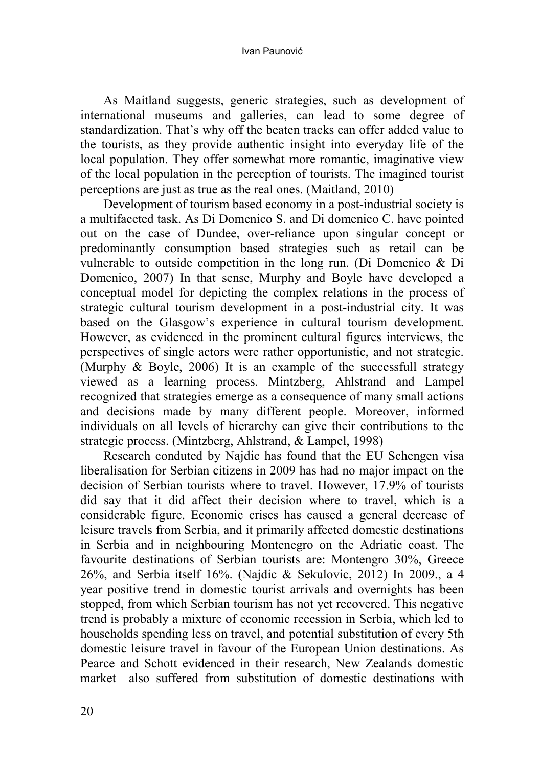As Maitland suggests, generic strategies, such as development of international museums and galleries, can lead to some degree of standardization. That's why off the beaten tracks can offer added value to the tourists, as they provide authentic insight into everyday life of the local population. They offer somewhat more romantic, imaginative view of the local population in the perception of tourists. The imagined tourist perceptions are just as true as the real ones. (Maitland, 2010)

Development of tourism based economy in a post-industrial society is a multifaceted task. As Di Domenico S. and Di domenico C. have pointed out on the case of Dundee, over-reliance upon singular concept or predominantly consumption based strategies such as retail can be vulnerable to outside competition in the long run. (Di Domenico & Di Domenico, 2007) In that sense, Murphy and Boyle have developed a conceptual model for depicting the complex relations in the process of strategic cultural tourism development in a post-industrial city. It was based on the Glasgow's experience in cultural tourism development. However, as evidenced in the prominent cultural figures interviews, the perspectives of single actors were rather opportunistic, and not strategic. (Murphy & Boyle, 2006) It is an example of the successfull strategy viewed as a learning process. Mintzberg, Ahlstrand and Lampel recognized that strategies emerge as a consequence of many small actions and decisions made by many different people. Moreover, informed individuals on all levels of hierarchy can give their contributions to the strategic process. (Mintzberg, Ahlstrand, & Lampel, 1998)

Research conduted by Najdic has found that the EU Schengen visa liberalisation for Serbian citizens in 2009 has had no major impact on the decision of Serbian tourists where to travel. However, 17.9% of tourists did say that it did affect their decision where to travel, which is a considerable figure. Economic crises has caused a general decrease of leisure travels from Serbia, and it primarily affected domestic destinations in Serbia and in neighbouring Montenegro on the Adriatic coast. The favourite destinations of Serbian tourists are: Montengro 30%, Greece 26%, and Serbia itself 16%. (Najdic & Sekulovic, 2012) In 2009., a 4 year positive trend in domestic tourist arrivals and overnights has been stopped, from which Serbian tourism has not yet recovered. This negative trend is probably a mixture of economic recession in Serbia, which led to households spending less on travel, and potential substitution of every 5th domestic leisure travel in favour of the European Union destinations. As Pearce and Schott evidenced in their research, New Zealands domestic market also suffered from substitution of domestic destinations with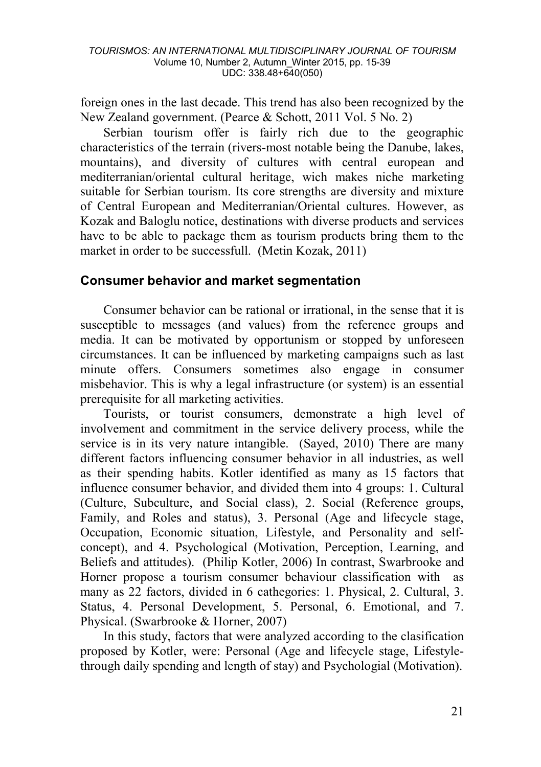foreign ones in the last decade. This trend has also been recognized by the New Zealand government. (Pearce & Schott, 2011 Vol. 5 No. 2)

Serbian tourism offer is fairly rich due to the geographic characteristics of the terrain (rivers-most notable being the Danube, lakes, mountains), and diversity of cultures with central european and mediterranian/oriental cultural heritage, wich makes niche marketing suitable for Serbian tourism. Its core strengths are diversity and mixture of Central European and Mediterranian/Oriental cultures. However, as Kozak and Baloglu notice, destinations with diverse products and services have to be able to package them as tourism products bring them to the market in order to be successfull. (Metin Kozak, 2011)

### **Consumer behavior and market segmentation**

Consumer behavior can be rational or irrational, in the sense that it is susceptible to messages (and values) from the reference groups and media. It can be motivated by opportunism or stopped by unforeseen circumstances. It can be influenced by marketing campaigns such as last minute offers. Consumers sometimes also engage in consumer misbehavior. This is why a legal infrastructure (or system) is an essential prerequisite for all marketing activities.

Tourists, or tourist consumers, demonstrate a high level of involvement and commitment in the service delivery process, while the service is in its very nature intangible. (Sayed, 2010) There are many different factors influencing consumer behavior in all industries, as well as their spending habits. Kotler identified as many as 15 factors that influence consumer behavior, and divided them into 4 groups: 1. Cultural (Culture, Subculture, and Social class), 2. Social (Reference groups, Family, and Roles and status), 3. Personal (Age and lifecycle stage, Occupation, Economic situation, Lifestyle, and Personality and selfconcept), and 4. Psychological (Motivation, Perception, Learning, and Beliefs and attitudes). (Philip Kotler, 2006) In contrast, Swarbrooke and Horner propose a tourism consumer behaviour classification with as many as 22 factors, divided in 6 cathegories: 1. Physical, 2. Cultural, 3. Status, 4. Personal Development, 5. Personal, 6. Emotional, and 7. Physical. (Swarbrooke & Horner, 2007)

In this study, factors that were analyzed according to the clasification proposed by Kotler, were: Personal (Age and lifecycle stage, Lifestylethrough daily spending and length of stay) and Psychologial (Motivation).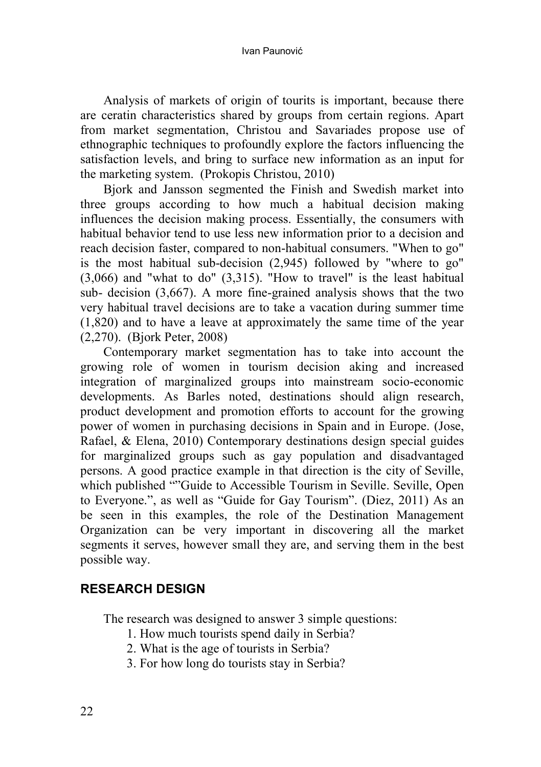Analysis of markets of origin of tourits is important, because there are ceratin characteristics shared by groups from certain regions. Apart from market segmentation, Christou and Savariades propose use of ethnographic techniques to profoundly explore the factors influencing the satisfaction levels, and bring to surface new information as an input for the marketing system. (Prokopis Christou, 2010)

Bjork and Jansson segmented the Finish and Swedish market into three groups according to how much a habitual decision making influences the decision making process. Essentially, the consumers with habitual behavior tend to use less new information prior to a decision and reach decision faster, compared to non-habitual consumers. "When to go" is the most habitual sub-decision (2,945) followed by "where to go" (3,066) and "what to do" (3,315). "How to travel" is the least habitual sub- decision (3,667). A more fine-grained analysis shows that the two very habitual travel decisions are to take a vacation during summer time (1,820) and to have a leave at approximately the same time of the year (2,270). (Bjork Peter, 2008)

Contemporary market segmentation has to take into account the growing role of women in tourism decision aking and increased integration of marginalized groups into mainstream socio-economic developments. As Barles noted, destinations should align research, product development and promotion efforts to account for the growing power of women in purchasing decisions in Spain and in Europe. (Jose, Rafael, & Elena, 2010) Contemporary destinations design special guides for marginalized groups such as gay population and disadvantaged persons. A good practice example in that direction is the city of Seville, which published ""Guide to Accessible Tourism in Seville. Seville, Open to Everyone.", as well as "Guide for Gay Tourism". (Diez, 2011) As an be seen in this examples, the role of the Destination Management Organization can be very important in discovering all the market segments it serves, however small they are, and serving them in the best possible way.

# **RESEARCH DESIGN**

The research was designed to answer 3 simple questions:

- 1. How much tourists spend daily in Serbia?
- 2. What is the age of tourists in Serbia?
- 3. For how long do tourists stay in Serbia?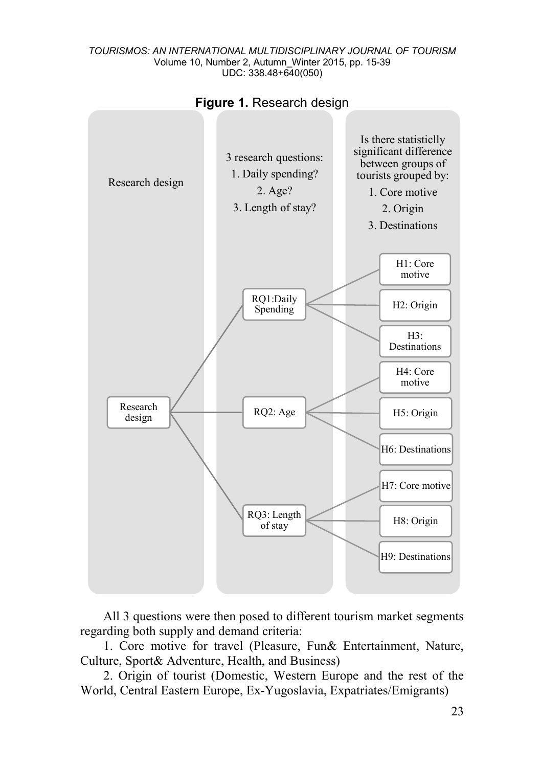



All 3 questions were then posed to different tourism market segments regarding both supply and demand criteria:

1. Core motive for travel (Pleasure, Fun& Entertainment, Nature, Culture, Sport& Adventure, Health, and Business)

2. Origin of tourist (Domestic, Western Europe and the rest of the World, Central Eastern Europe, Ex-Yugoslavia, Expatriates/Emigrants)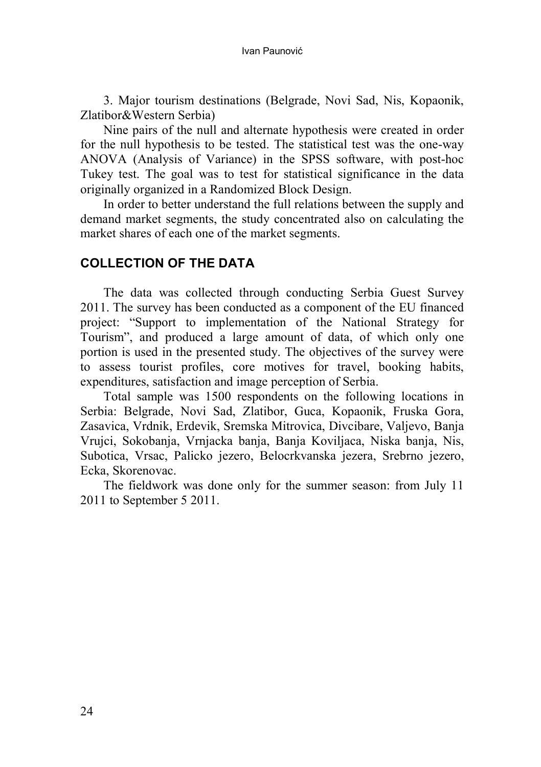3. Major tourism destinations (Belgrade, Novi Sad, Nis, Kopaonik, Zlatibor&Western Serbia)

Nine pairs of the null and alternate hypothesis were created in order for the null hypothesis to be tested. The statistical test was the one-way ANOVA (Analysis of Variance) in the SPSS software, with post-hoc Tukey test. The goal was to test for statistical significance in the data originally organized in a Randomized Block Design.

In order to better understand the full relations between the supply and demand market segments, the study concentrated also on calculating the market shares of each one of the market segments.

## **COLLECTION OF THE DATA**

The data was collected through conducting Serbia Guest Survey 2011. The survey has been conducted as a component of the EU financed project: "Support to implementation of the National Strategy for Tourism", and produced a large amount of data, of which only one portion is used in the presented study. The objectives of the survey were to assess tourist profiles, core motives for travel, booking habits, expenditures, satisfaction and image perception of Serbia.

Total sample was 1500 respondents on the following locations in Serbia: Belgrade, Novi Sad, Zlatibor, Guca, Kopaonik, Fruska Gora, Zasavica, Vrdnik, Erdevik, Sremska Mitrovica, Divcibare, Valjevo, Banja Vrujci, Sokobanja, Vrnjacka banja, Banja Koviljaca, Niska banja, Nis, Subotica, Vrsac, Palicko jezero, Belocrkvanska jezera, Srebrno jezero, Ecka, Skorenovac.

The fieldwork was done only for the summer season: from July 11 2011 to September 5 2011.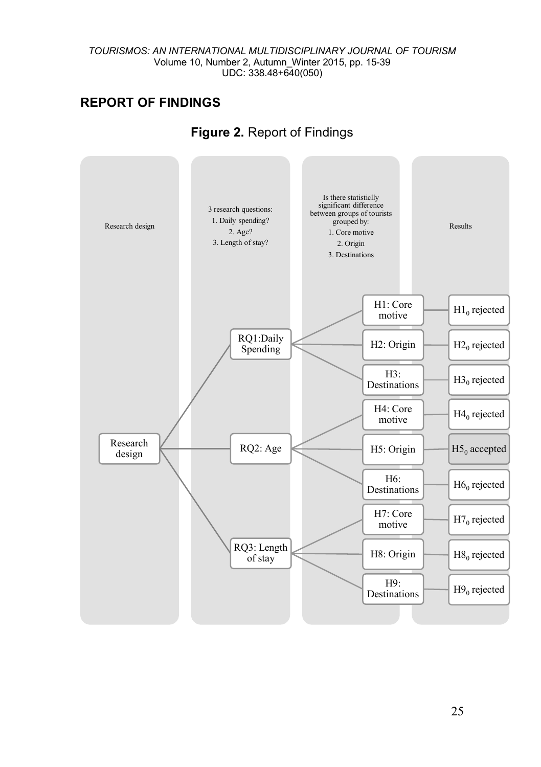# **REPORT OF FINDINGS**



# **Figure 2.** Report of Findings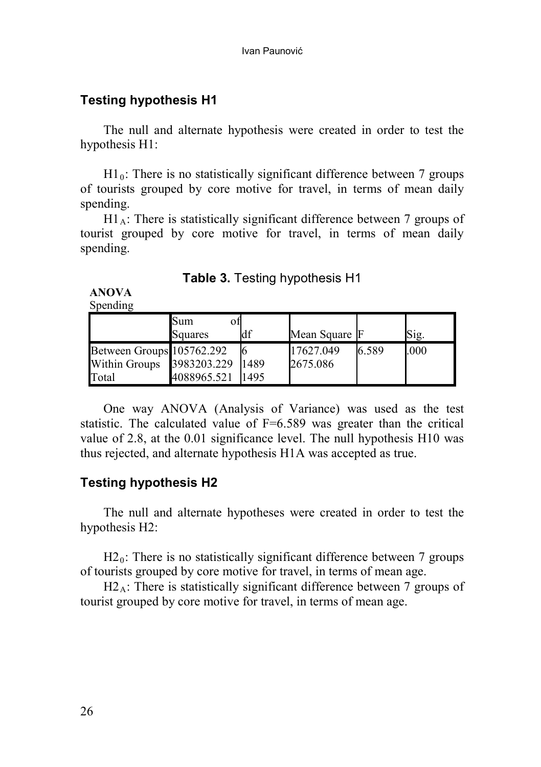# **Testing hypothesis H1**

The null and alternate hypothesis were created in order to test the hypothesis H1:

 $H1_0$ : There is no statistically significant difference between 7 groups of tourists grouped by core motive for travel, in terms of mean daily spending.

 $H1_A$ : There is statistically significant difference between 7 groups of tourist grouped by core motive for travel, in terms of mean daily spending.

|  |  | <b>Table 3. Testing hypothesis H1</b> |  |
|--|--|---------------------------------------|--|
|--|--|---------------------------------------|--|

**ANOVA**

Spending

|                                            | Sum<br>оħ<br>Squares | df   | Mean Square F         |       | S1g. |
|--------------------------------------------|----------------------|------|-----------------------|-------|------|
| Between Groups 105762.292<br>Within Groups | 3983203.229          | 1489 | 17627.049<br>2675.086 | 6.589 | .000 |
| Total                                      | 4088965.521          | 1495 |                       |       |      |

One way ANOVA (Analysis of Variance) was used as the test statistic. The calculated value of F=6.589 was greater than the critical value of 2.8, at the 0.01 significance level. The null hypothesis H10 was thus rejected, and alternate hypothesis H1A was accepted as true.

# **Testing hypothesis H2**

The null and alternate hypotheses were created in order to test the hypothesis H2:

 $H2<sub>0</sub>$ : There is no statistically significant difference between 7 groups of tourists grouped by core motive for travel, in terms of mean age.

 $H2_A$ : There is statistically significant difference between 7 groups of tourist grouped by core motive for travel, in terms of mean age.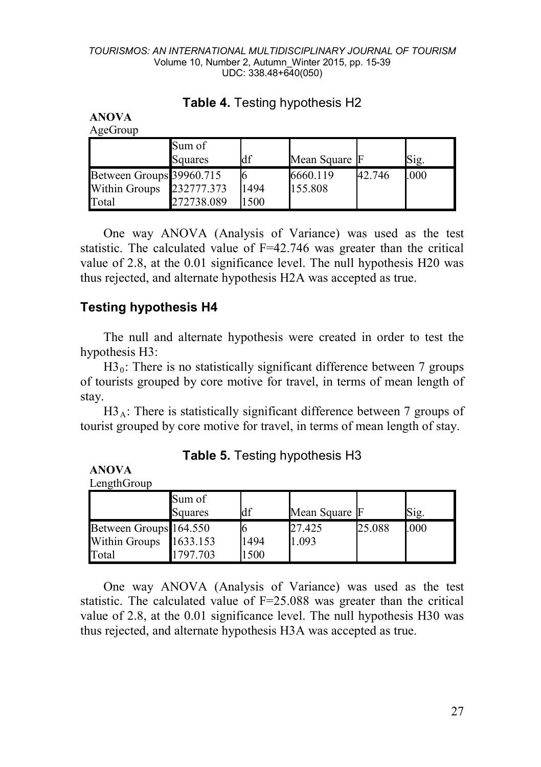|                          | Sum of<br>Squares | df   | Mean Square F |        | Sig. |
|--------------------------|-------------------|------|---------------|--------|------|
| Between Groups 39960.715 |                   |      | 6660.119      | 42.746 | .000 |
| Within Groups            | 232777.373        | 1494 | 155.808       |        |      |
| Total                    | 272738.089        | 1500 |               |        |      |

# **Table 4.** Testing hypothesis H2

One way ANOVA (Analysis of Variance) was used as the test statistic. The calculated value of F=42.746 was greater than the critical value of 2.8, at the 0.01 significance level. The null hypothesis H20 was thus rejected, and alternate hypothesis H2A was accepted as true.

# **Testing hypothesis H4**

**ANOVA**  $A \alpha$ eGroup

**ANOVA** L<sub>ength</sub>Group

The null and alternate hypothesis were created in order to test the hypothesis H3:

 $H3<sub>0</sub>$ : There is no statistically significant difference between 7 groups of tourists grouped by core motive for travel, in terms of mean length of stay.

 $H3_A$ : There is statistically significant difference between 7 groups of tourist grouped by core motive for travel, in terms of mean length of stay.

| LUILLUIUU              |                   |      |               |        |      |  |  |  |
|------------------------|-------------------|------|---------------|--------|------|--|--|--|
|                        | Sum of<br>Squares | df   | Mean Square F |        | Sig. |  |  |  |
| Between Groups 164.550 |                   |      | 27.425        | 25.088 | .000 |  |  |  |
| Within Groups          | 1633.153          | 1494 | 1.093         |        |      |  |  |  |
| Total                  | 1797.703          | 1500 |               |        |      |  |  |  |

### **Table 5.** Testing hypothesis H3

One way ANOVA (Analysis of Variance) was used as the test statistic. The calculated value of F=25.088 was greater than the critical value of 2.8, at the 0.01 significance level. The null hypothesis H30 was thus rejected, and alternate hypothesis H3A was accepted as true.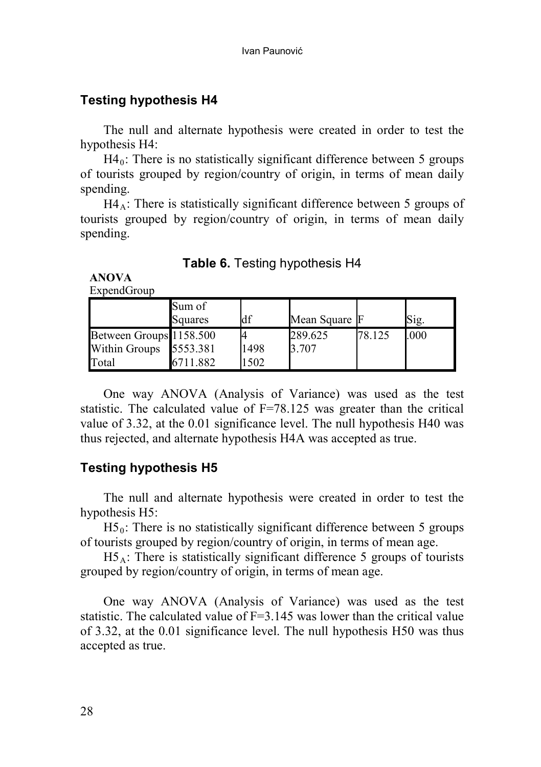# **Testing hypothesis H4**

The null and alternate hypothesis were created in order to test the hypothesis H4:

 $H4<sub>0</sub>$ : There is no statistically significant difference between 5 groups of tourists grouped by region/country of origin, in terms of mean daily spending.

 $H4_A$ : There is statistically significant difference between 5 groups of tourists grouped by region/country of origin, in terms of mean daily spending.

| Table 6. Testing hypothesis H4 |  |
|--------------------------------|--|
|--------------------------------|--|

**ANOVA**

| ExpendGroup |  |
|-------------|--|
|-------------|--|

|                         | Sum of<br>Squares | df   | Mean Square F |        | Sig. |
|-------------------------|-------------------|------|---------------|--------|------|
| Between Groups 1158.500 |                   |      | 289.625       | 78.125 | .000 |
| Within Groups 5553.381  |                   | 1498 | 3.707         |        |      |
| Total                   | 6711.882          | 1502 |               |        |      |

One way ANOVA (Analysis of Variance) was used as the test statistic. The calculated value of  $F=78.125$  was greater than the critical value of 3.32, at the 0.01 significance level. The null hypothesis H40 was thus rejected, and alternate hypothesis H4A was accepted as true.

# **Testing hypothesis H5**

The null and alternate hypothesis were created in order to test the hypothesis H5:

 $H5<sub>0</sub>$ : There is no statistically significant difference between 5 groups of tourists grouped by region/country of origin, in terms of mean age.

 $H5_A$ : There is statistically significant difference 5 groups of tourists grouped by region/country of origin, in terms of mean age.

One way ANOVA (Analysis of Variance) was used as the test statistic. The calculated value of  $F=3.145$  was lower than the critical value of 3.32, at the 0.01 significance level. The null hypothesis H50 was thus accepted as true.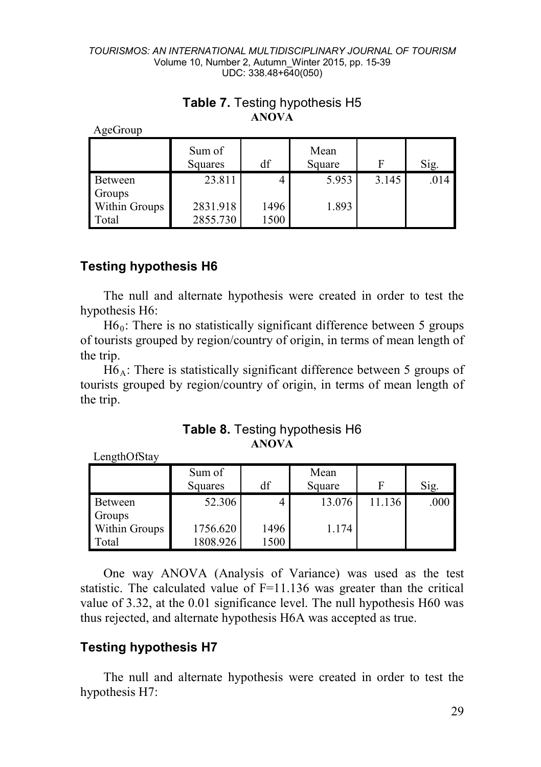| AgeGroup       |                   |      |                |       |      |
|----------------|-------------------|------|----------------|-------|------|
|                | Sum of<br>Squares | df   | Mean<br>Square | F     | Sig. |
| <b>Between</b> | 23.811            |      | 5.953          | 3.145 | .014 |
| Groups         |                   |      |                |       |      |
| Within Groups  | 2831.918          | 1496 | 1.893          |       |      |
| Total          | 2855.730          | 1500 |                |       |      |

## **Table 7.** Testing hypothesis H5 **ANOVA**

# **Testing hypothesis H6**

Length $Of$ Stay

The null and alternate hypothesis were created in order to test the hypothesis H6:

 $H6_0$ : There is no statistically significant difference between 5 groups of tourists grouped by region/country of origin, in terms of mean length of the trip.

 $H6_A$ : There is statistically significant difference between 5 groups of tourists grouped by region/country of origin, in terms of mean length of the trip.

**Table 8.** Testing hypothesis H6 **ANOVA**

|               | Sum of<br>Squares | df   | Mean<br>Square |        | Sig. |
|---------------|-------------------|------|----------------|--------|------|
| Between       | 52.306            |      | 13.076         | 11.136 | .000 |
| Groups        |                   |      |                |        |      |
| Within Groups | 1756.620          | 1496 | 1.174          |        |      |
| Total         | 1808.926          | 1500 |                |        |      |

One way ANOVA (Analysis of Variance) was used as the test statistic. The calculated value of  $F=11.136$  was greater than the critical value of 3.32, at the 0.01 significance level. The null hypothesis H60 was thus rejected, and alternate hypothesis H6A was accepted as true.

# **Testing hypothesis H7**

The null and alternate hypothesis were created in order to test the hypothesis H7: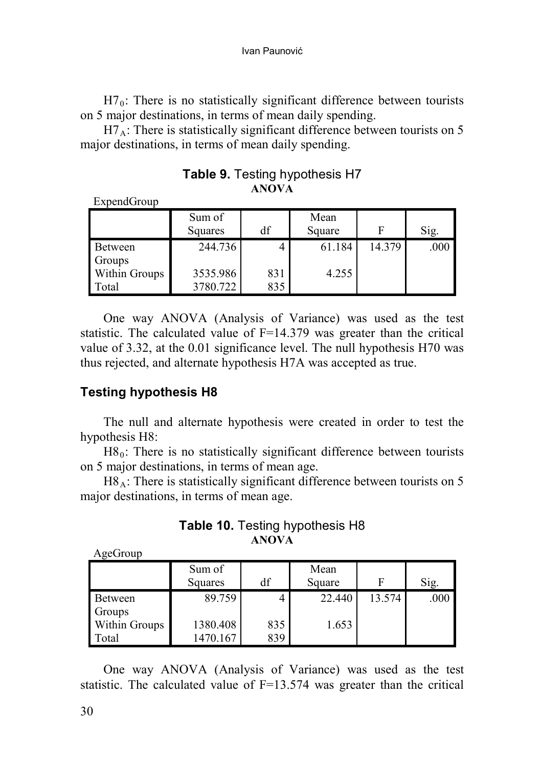$H7<sub>0</sub>$ : There is no statistically significant difference between tourists on 5 major destinations, in terms of mean daily spending.

 $H7_A$ : There is statistically significant difference between tourists on 5 major destinations, in terms of mean daily spending.

| LADURUTURD    |          |     |        |        |      |
|---------------|----------|-----|--------|--------|------|
|               | Sum of   |     | Mean   |        |      |
|               | Squares  | df  | Square |        | Sig. |
| Between       | 244.736  |     | 61.184 | 14.379 | .000 |
| Groups        |          |     |        |        |      |
| Within Groups | 3535.986 | 831 | 4.255  |        |      |
| Total         | 3780.722 | 835 |        |        |      |

**Table 9.** Testing hypothesis H7 **ANOVA**

One way ANOVA (Analysis of Variance) was used as the test statistic. The calculated value of  $F=14.379$  was greater than the critical value of 3.32, at the 0.01 significance level. The null hypothesis H70 was thus rejected, and alternate hypothesis H7A was accepted as true.

# **Testing hypothesis H8**

 $Ev$ pend $Gr$ oup

The null and alternate hypothesis were created in order to test the hypothesis H8:

 $H8_0$ : There is no statistically significant difference between tourists on 5 major destinations, in terms of mean age.

H8<sub>A</sub>: There is statistically significant difference between tourists on 5 major destinations, in terms of mean age.

### **Table 10.** Testing hypothesis H8 **ANOVA**

| AgeGroup |  |
|----------|--|
|----------|--|

|               | Sum of   |     | Mean   |        |      |
|---------------|----------|-----|--------|--------|------|
|               | Squares  | df  | Square |        | Sig. |
| Between       | 89.759   |     | 22.440 | 13.574 | .000 |
| Groups        |          |     |        |        |      |
| Within Groups | 1380.408 | 835 | 1.653  |        |      |
| Total         | 1470.167 | 839 |        |        |      |

One way ANOVA (Analysis of Variance) was used as the test statistic. The calculated value of F=13.574 was greater than the critical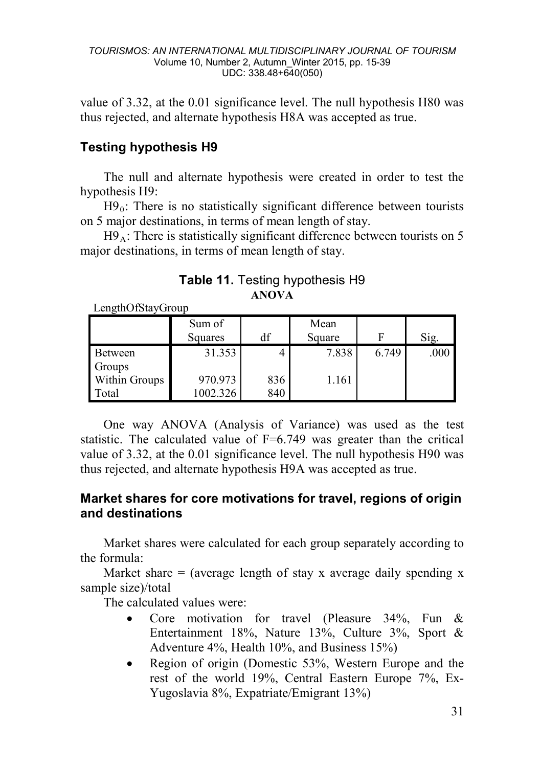value of 3.32, at the 0.01 significance level. The null hypothesis H80 was thus rejected, and alternate hypothesis H8A was accepted as true.

# **Testing hypothesis H9**

The null and alternate hypothesis were created in order to test the hypothesis H9:

 $H9<sub>0</sub>$ : There is no statistically significant difference between tourists on 5 major destinations, in terms of mean length of stay.

 $H9_A$ : There is statistically significant difference between tourists on 5 major destinations, in terms of mean length of stay.

**Table 11.** Testing hypothesis H9 **ANOVA**

| Luiguio Ibia y Giogp |                   |     |                |       |      |
|----------------------|-------------------|-----|----------------|-------|------|
|                      | Sum of<br>Squares | df  | Mean<br>Square | F     | Sig. |
| Between              | 31.353            |     | 7.838          | 6.749 | .000 |
| Groups               |                   |     |                |       |      |
| Within Groups        | 970.973           | 836 | 1.161          |       |      |
| Total                | 1002.326          | 840 |                |       |      |

LengthOfStayGroup

One way ANOVA (Analysis of Variance) was used as the test statistic. The calculated value of  $F=6.749$  was greater than the critical value of 3.32, at the 0.01 significance level. The null hypothesis H90 was thus rejected, and alternate hypothesis H9A was accepted as true.

# **Market shares for core motivations for travel, regions of origin and destinations**

Market shares were calculated for each group separately according to the formula:

Market share  $=$  (average length of stay x average daily spending x sample size)/total

The calculated values were:

- Core motivation for travel (Pleasure 34%, Fun & Entertainment 18%, Nature 13%, Culture 3%, Sport & Adventure 4%, Health 10%, and Business 15%)
- Region of origin (Domestic 53%, Western Europe and the rest of the world 19%, Central Eastern Europe 7%, Ex-Yugoslavia 8%, Expatriate/Emigrant 13%)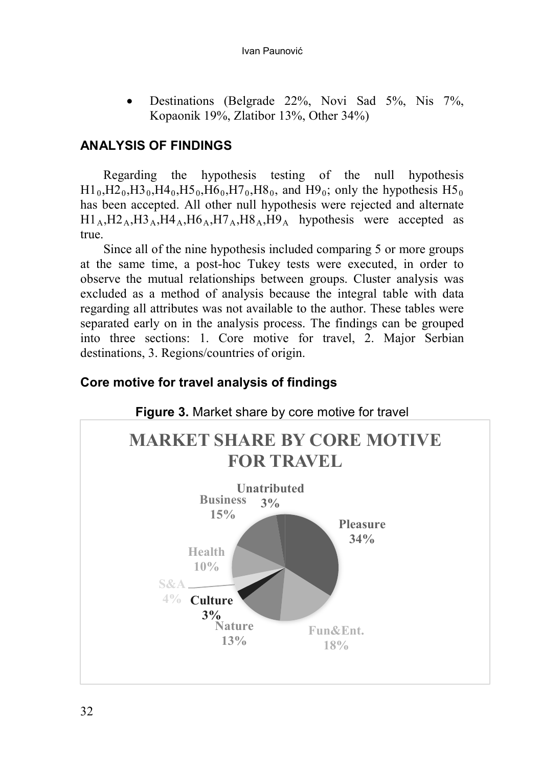• Destinations (Belgrade 22%, Novi Sad 5%, Nis 7%, Kopaonik 19%, Zlatibor 13%, Other 34%)

# **ANALYSIS OF FINDINGS**

Regarding the hypothesis testing of the null hypothesis  $H1_0,H2_0,H3_0,H4_0,H5_0,H6_0,H7_0,H8_0$ , and  $H9_0$ ; only the hypothesis  $H5_0$ has been accepted. All other null hypothesis were rejected and alternate  $H1_A, H2_A, H3_A, H4_A, H6_A, H7_A, H8_A, H9_A$  hypothesis were accepted as true.

Since all of the nine hypothesis included comparing 5 or more groups at the same time, a post-hoc Tukey tests were executed, in order to observe the mutual relationships between groups. Cluster analysis was excluded as a method of analysis because the integral table with data regarding all attributes was not available to the author. These tables were separated early on in the analysis process. The findings can be grouped into three sections: 1. Core motive for travel, 2. Major Serbian destinations, 3. Regions/countries of origin.

# **Core motive for travel analysis of findings**

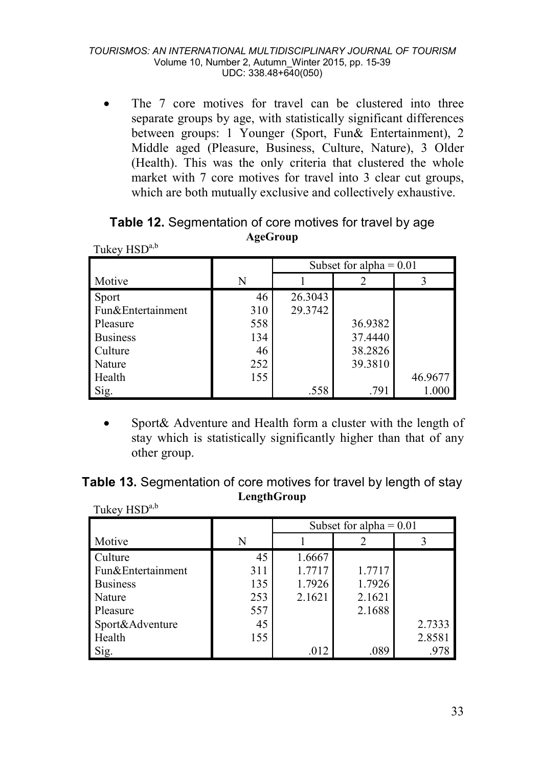• The 7 core motives for travel can be clustered into three separate groups by age, with statistically significant differences between groups: 1 Younger (Sport, Fun& Entertainment), 2 Middle aged (Pleasure, Business, Culture, Nature), 3 Older (Health). This was the only criteria that clustered the whole market with 7 core motives for travel into 3 clear cut groups, which are both mutually exclusive and collectively exhaustive.

| 1 UNU Y 11 JU     |     |                           |         |         |  |
|-------------------|-----|---------------------------|---------|---------|--|
|                   |     | Subset for alpha = $0.01$ |         |         |  |
| Motive            | N   |                           |         |         |  |
| Sport             | 46  | 26.3043                   |         |         |  |
| Fun&Entertainment | 310 | 29.3742                   |         |         |  |
| Pleasure          | 558 |                           | 36.9382 |         |  |
| <b>Business</b>   | 134 |                           | 37.4440 |         |  |
| Culture           | 46  |                           | 38.2826 |         |  |
| Nature            | 252 |                           | 39.3810 |         |  |
| Health            | 155 |                           |         | 46.9677 |  |
| Sig.              |     | .558                      | .791    | 1.000   |  |

**Table 12.** Segmentation of core motives for travel by age **AgeGroup**  $T_{\text{u}}$  $k_{\text{ev}}$   $H$ SD<sup>a,b</sup>

Sport& Adventure and Health form a cluster with the length of stay which is statistically significantly higher than that of any other group.

| Table 13. Segmentation of core motives for travel by length of stay |             |  |  |
|---------------------------------------------------------------------|-------------|--|--|
|                                                                     | LengthGroup |  |  |

|                   |     | Subset for alpha $= 0.01$ |        |        |  |
|-------------------|-----|---------------------------|--------|--------|--|
| Motive            | N   |                           |        |        |  |
| <b>Culture</b>    | 45  | 1.6667                    |        |        |  |
| Fun&Entertainment | 311 | 1.7717                    | 1.7717 |        |  |
| <b>Business</b>   | 135 | 1.7926                    | 1.7926 |        |  |
| Nature            | 253 | 2.1621                    | 2.1621 |        |  |
| Pleasure          | 557 |                           | 2.1688 |        |  |
| Sport&Adventure   | 45  |                           |        | 2.7333 |  |
| Health            | 155 |                           |        | 2.8581 |  |
|                   |     | .012                      | .089   | .978   |  |

Tukey HSD<sup>a,b</sup>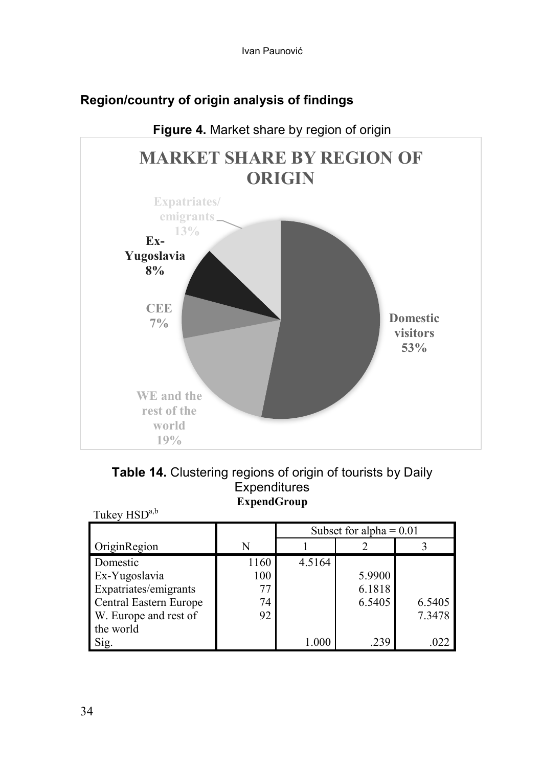

# **Region/country of origin analysis of findings**

|                                  | <b>Table 14.</b> Clustering regions of origin of tourists by Daily |  |
|----------------------------------|--------------------------------------------------------------------|--|
|                                  | Expenditures                                                       |  |
|                                  | <b>ExpendGroup</b>                                                 |  |
| $T_{\text{relax}}$ IIC $D^{a,b}$ |                                                                    |  |

| THEY LISP              |      |                           |        |        |  |  |
|------------------------|------|---------------------------|--------|--------|--|--|
|                        |      | Subset for alpha = $0.01$ |        |        |  |  |
| OriginRegion           | N    |                           |        |        |  |  |
| Domestic               | 1160 | 4.5164                    |        |        |  |  |
| Ex-Yugoslavia          | 100  |                           | 5.9900 |        |  |  |
| Expatriates/emigrants  | 77   |                           | 6.1818 |        |  |  |
| Central Eastern Europe | 74   |                           | 6.5405 | 6.5405 |  |  |
| W. Europe and rest of  | 92   |                           |        | 7.3478 |  |  |
| the world              |      |                           |        |        |  |  |
| Sig.                   |      | 1.000                     | .239   | .022   |  |  |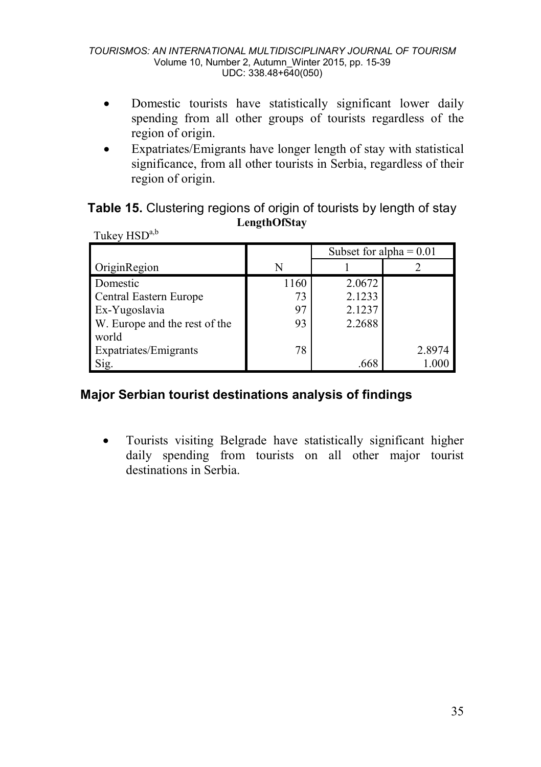- Domestic tourists have statistically significant lower daily spending from all other groups of tourists regardless of the region of origin.
- Expatriates/Emigrants have longer length of stay with statistical significance, from all other tourists in Serbia, regardless of their region of origin.

**Table 15.** Clustering regions of origin of tourists by length of stay **LengthOfStay**  $Thk$ ey  $HSD^{a,b}$ 

| THIS TIPP                     |      |                           |        |  |  |  |
|-------------------------------|------|---------------------------|--------|--|--|--|
|                               |      | Subset for alpha $= 0.01$ |        |  |  |  |
| OriginRegion                  | N    |                           |        |  |  |  |
| Domestic                      | 1160 | 2.0672                    |        |  |  |  |
| Central Eastern Europe        | 73   | 2.1233                    |        |  |  |  |
| Ex-Yugoslavia                 | 97   | 2.1237                    |        |  |  |  |
| W. Europe and the rest of the | 93   | 2.2688                    |        |  |  |  |
| world                         |      |                           |        |  |  |  |
| Expatriates/Emigrants         | 78   |                           | 2.8974 |  |  |  |
| Sig.                          |      | .668                      | 1.000  |  |  |  |

# **Major Serbian tourist destinations analysis of findings**

• Tourists visiting Belgrade have statistically significant higher daily spending from tourists on all other major tourist destinations in Serbia.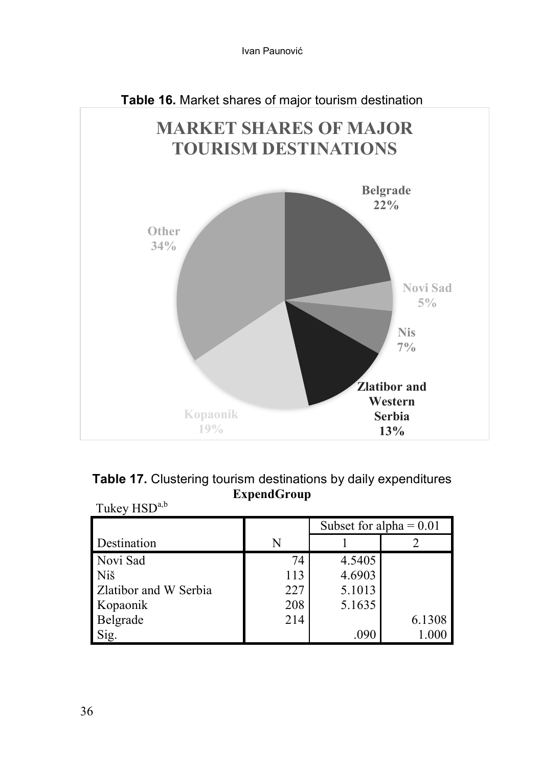

|                          | Table 17. Clustering tourism destinations by daily expenditures |
|--------------------------|-----------------------------------------------------------------|
|                          | <b>ExpendGroup</b>                                              |
| Tukey HSD <sup>a,b</sup> |                                                                 |

|                       |     | Subset for alpha = $0.01$ |        |  |
|-----------------------|-----|---------------------------|--------|--|
| Destination           | Ν   |                           |        |  |
| Novi Sad              | 74  | 4.5405                    |        |  |
| Niš                   | 113 | 4.6903                    |        |  |
| Zlatibor and W Serbia | 227 | 5.1013                    |        |  |
| Kopaonik              | 208 | 5.1635                    |        |  |
| Belgrade              | 214 |                           | 6.1308 |  |
| Sig.                  |     | .090                      |        |  |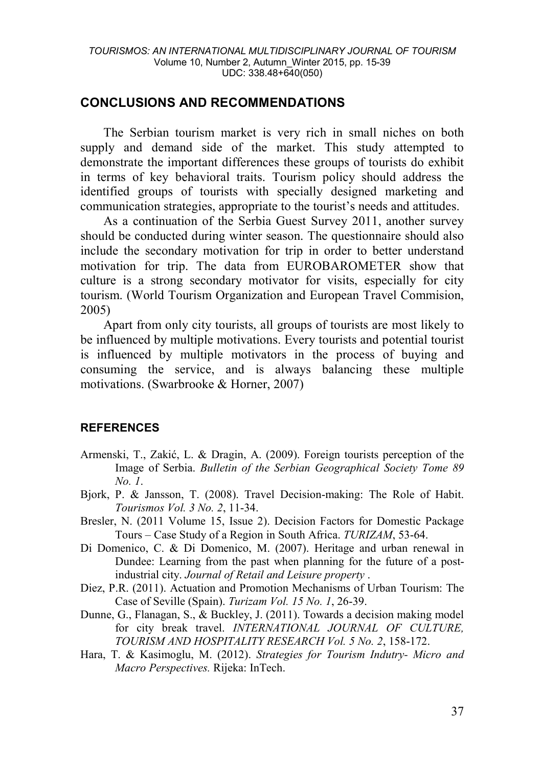### **CONCLUSIONS AND RECOMMENDATIONS**

The Serbian tourism market is very rich in small niches on both supply and demand side of the market. This study attempted to demonstrate the important differences these groups of tourists do exhibit in terms of key behavioral traits. Tourism policy should address the identified groups of tourists with specially designed marketing and communication strategies, appropriate to the tourist's needs and attitudes.

As a continuation of the Serbia Guest Survey 2011, another survey should be conducted during winter season. The questionnaire should also include the secondary motivation for trip in order to better understand motivation for trip. The data from EUROBAROMETER show that culture is a strong secondary motivator for visits, especially for city tourism. (World Tourism Organization and European Travel Commision, 2005)

Apart from only city tourists, all groups of tourists are most likely to be influenced by multiple motivations. Every tourists and potential tourist is influenced by multiple motivators in the process of buying and consuming the service, and is always balancing these multiple motivations. (Swarbrooke & Horner, 2007)

### **REFERENCES**

- Armenski, T., Zakić, L. & Dragin, A. (2009). Foreign tourists perception of the Image of Serbia. *Bulletin of the Serbian Geographical Society Tome 89 No. 1*.
- Bjork, P. & Jansson, T. (2008). Travel Decision-making: The Role of Habit. *Tourismos Vol. 3 No. 2*, 11-34.
- Bresler, N. (2011 Volume 15, Issue 2). Decision Factors for Domestic Package Tours – Case Study of a Region in South Africa. *TURIZAM*, 53-64.
- Di Domenico, C. & Di Domenico, M. (2007). Heritage and urban renewal in Dundee: Learning from the past when planning for the future of a postindustrial city. *Journal of Retail and Leisure property* .
- Diez, P.R. (2011). Actuation and Promotion Mechanisms of Urban Tourism: The Case of Seville (Spain). *Turizam Vol. 15 No. 1*, 26-39.
- Dunne, G., Flanagan, S., & Buckley, J. (2011). Towards a decision making model for city break travel. *INTERNATIONAL JOURNAL OF CULTURE, TOURISM AND HOSPITALITY RESEARCH Vol. 5 No. 2*, 158-172.
- Hara, T. & Kasimoglu, M. (2012). *Strategies for Tourism Indutry- Micro and Macro Perspectives.* Rijeka: InTech.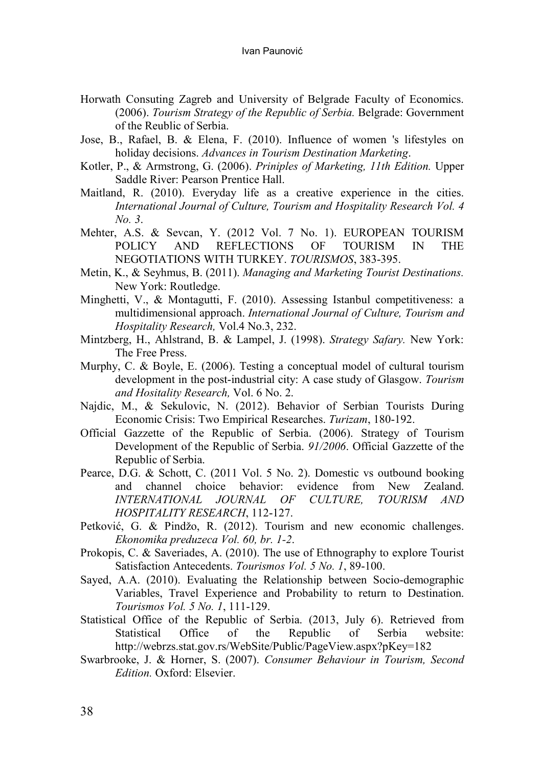- Horwath Consuting Zagreb and University of Belgrade Faculty of Economics. (2006). *Tourism Strategy of the Republic of Serbia.* Belgrade: Government of the Reublic of Serbia.
- Jose, B., Rafael, B. & Elena, F. (2010). Influence of women 's lifestyles on holiday decisions. *Advances in Tourism Destination Marketing*.
- Kotler, P., & Armstrong, G. (2006). *Priniples of Marketing, 11th Edition.* Upper Saddle River: Pearson Prentice Hall.
- Maitland, R. (2010). Everyday life as a creative experience in the cities. *International Journal of Culture, Tourism and Hospitality Research Vol. 4 No. 3*.
- Mehter, A.S. & Sevcan, Y. (2012 Vol. 7 No. 1). EUROPEAN TOURISM POLICY AND REFLECTIONS OF TOURISM IN THE NEGOTIATIONS WITH TURKEY. *TOURISMOS*, 383-395.
- Metin, K., & Seyhmus, B. (2011). *Managing and Marketing Tourist Destinations.* New York: Routledge.
- Minghetti, V., & Montagutti, F. (2010). Assessing Istanbul competitiveness: a multidimensional approach. *International Journal of Culture, Tourism and Hospitality Research,* Vol.4 No.3, 232.
- Mintzberg, H., Ahlstrand, B. & Lampel, J. (1998). *Strategy Safary.* New York: The Free Press.
- Murphy, C. & Boyle, E. (2006). Testing a conceptual model of cultural tourism development in the post-industrial city: A case study of Glasgow. *Tourism and Hositality Research,* Vol. 6 No. 2.
- Najdic, M., & Sekulovic, N. (2012). Behavior of Serbian Tourists During Economic Crisis: Two Empirical Researches. *Turizam*, 180-192.
- Official Gazzette of the Republic of Serbia. (2006). Strategy of Tourism Development of the Republic of Serbia. *91/2006*. Official Gazzette of the Republic of Serbia.
- Pearce, D.G. & Schott, C. (2011 Vol. 5 No. 2). Domestic vs outbound booking and channel choice behavior: evidence from New Zealand. *INTERNATIONAL JOURNAL OF CULTURE, TOURISM AND HOSPITALITY RESEARCH*, 112-127.
- Petković, G. & Pindžo, R. (2012). Tourism and new economic challenges. *Ekonomika preduzeca Vol. 60, br. 1-2*.
- Prokopis, C. & Saveriades, A. (2010). The use of Ethnography to explore Tourist Satisfaction Antecedents. *Tourismos Vol. 5 No. 1*, 89-100.
- Sayed, A.A. (2010). Evaluating the Relationship between Socio-demographic Variables, Travel Experience and Probability to return to Destination. *Tourismos Vol. 5 No. 1*, 111-129.
- Statistical Office of the Republic of Serbia. (2013, July 6). Retrieved from Statistical Office of the Republic of Serbia website: http://webrzs.stat.gov.rs/WebSite/Public/PageView.aspx?pKey=182
- Swarbrooke, J. & Horner, S. (2007). *Consumer Behaviour in Tourism, Second Edition.* Oxford: Elsevier.